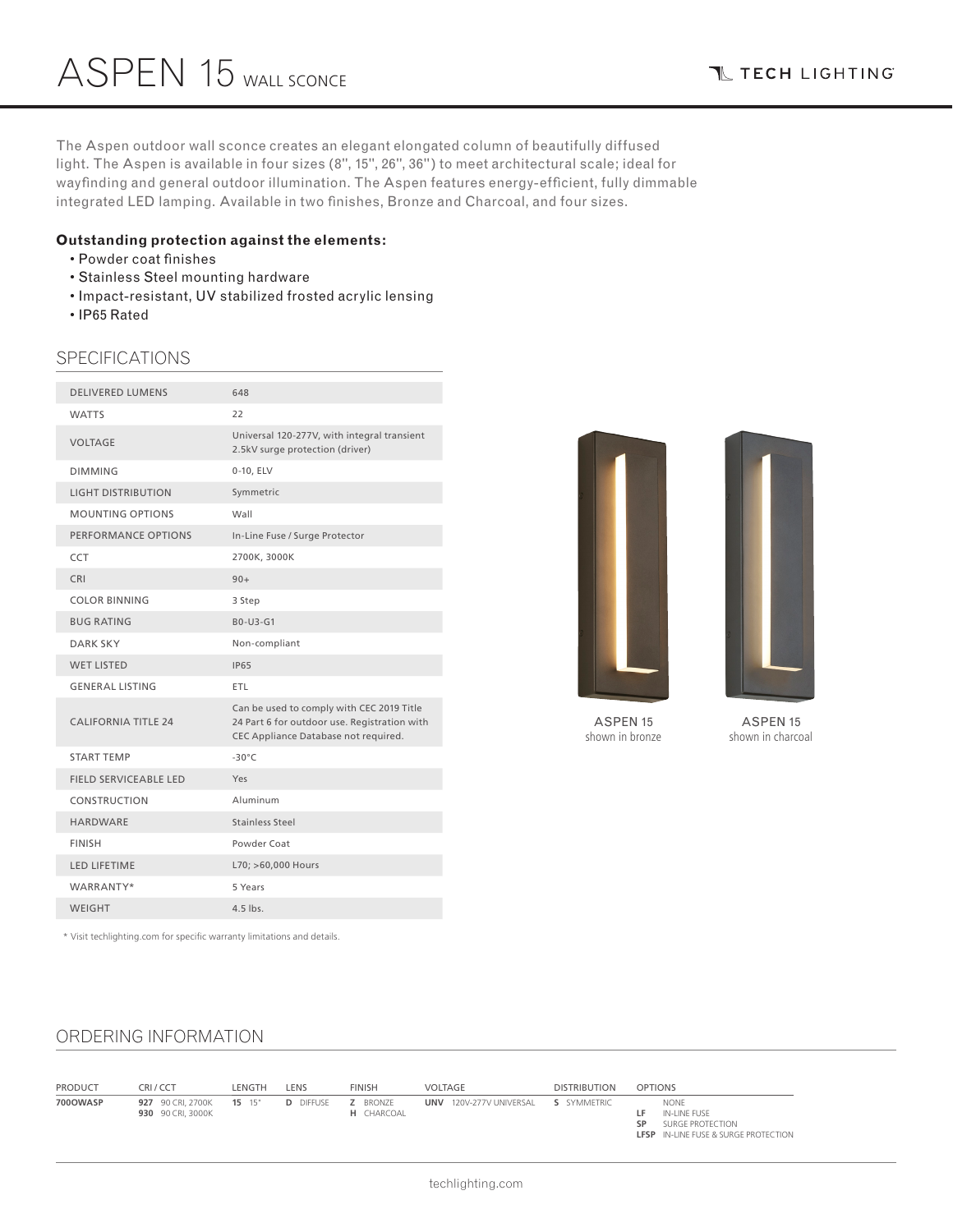**T TECH LIGHTING** 

The Aspen outdoor wall sconce creates an elegant elongated column of beautifully diffused light. The Aspen is available in four sizes (8", 15", 26", 36") to meet architectural scale; ideal for wayfinding and general outdoor illumination. The Aspen features energy-efficient, fully dimmable integrated LED lamping. Available in two finishes, Bronze and Charcoal, and four sizes.

### **Outstanding protection against the elements:**

- Powder coat finishes
- Stainless Steel mounting hardware
- Impact-resistant, UV stabilized frosted acrylic lensing
- IP65 Rated

### SPECIFICATIONS

| <b>DELIVERED LUMENS</b>      | 648                                                                                                                               |
|------------------------------|-----------------------------------------------------------------------------------------------------------------------------------|
| <b>WATTS</b>                 | 22                                                                                                                                |
| <b>VOLTAGE</b>               | Universal 120-277V, with integral transient<br>2.5kV surge protection (driver)                                                    |
| <b>DIMMING</b>               | 0-10, ELV                                                                                                                         |
| <b>LIGHT DISTRIBUTION</b>    | Symmetric                                                                                                                         |
| <b>MOUNTING OPTIONS</b>      | Wall                                                                                                                              |
| PERFORMANCE OPTIONS          | In-Line Fuse / Surge Protector                                                                                                    |
| <b>CCT</b>                   | 2700K, 3000K                                                                                                                      |
| <b>CRI</b>                   | $90+$                                                                                                                             |
| <b>COLOR BINNING</b>         | 3 Step                                                                                                                            |
| <b>BUG RATING</b>            | B0-U3-G1                                                                                                                          |
| <b>DARK SKY</b>              | Non-compliant                                                                                                                     |
| <b>WET LISTED</b>            | <b>IP65</b>                                                                                                                       |
| <b>GENERAL LISTING</b>       | <b>ETL</b>                                                                                                                        |
| <b>CALIFORNIA TITLE 24</b>   | Can be used to comply with CEC 2019 Title<br>24 Part 6 for outdoor use. Registration with<br>CEC Appliance Database not required. |
| <b>START TEMP</b>            | $-30^{\circ}$ C                                                                                                                   |
| <b>FIELD SERVICEABLE LED</b> | Yes                                                                                                                               |
| CONSTRUCTION                 | Aluminum                                                                                                                          |
| <b>HARDWARE</b>              | <b>Stainless Steel</b>                                                                                                            |
| <b>FINISH</b>                | Powder Coat                                                                                                                       |
| <b>LED LIFETIME</b>          | L70; >60,000 Hours                                                                                                                |
| WARRANTY*                    | 5 Years                                                                                                                           |
| <b>WEIGHT</b>                | 4.5 lbs.                                                                                                                          |
|                              |                                                                                                                                   |





ASPEN 15 shown in charcoal

\* Visit techlighting.com for specific warranty limitations and details.

# ORDERING INFORMATION

| <b>PRODUCT</b> | CRI/CCT                                       | LENGTH | LENS             | <b>FINISH</b>                        | VOLTAGE                                           | <b>DISTRIBUTION</b> | <b>OPTIONS</b>                                                                                              |
|----------------|-----------------------------------------------|--------|------------------|--------------------------------------|---------------------------------------------------|---------------------|-------------------------------------------------------------------------------------------------------------|
| 700OWASP       | 927 90 CRI, 2700K 15 15"<br>930 90 CRI, 3000K |        | <b>D</b> DIFFUSE | <b>Z</b> BRONZE<br><b>H</b> CHARCOAL | <b>UNV</b> 120V-277V UNIVERSAL <b>S</b> SYMMETRIC |                     | <b>NONE</b><br>IN-LINE FUSE<br>. .<br>SURGE PROTECTION<br>SP<br><b>LFSP</b> IN-LINE FUSE & SURGE PROTECTION |